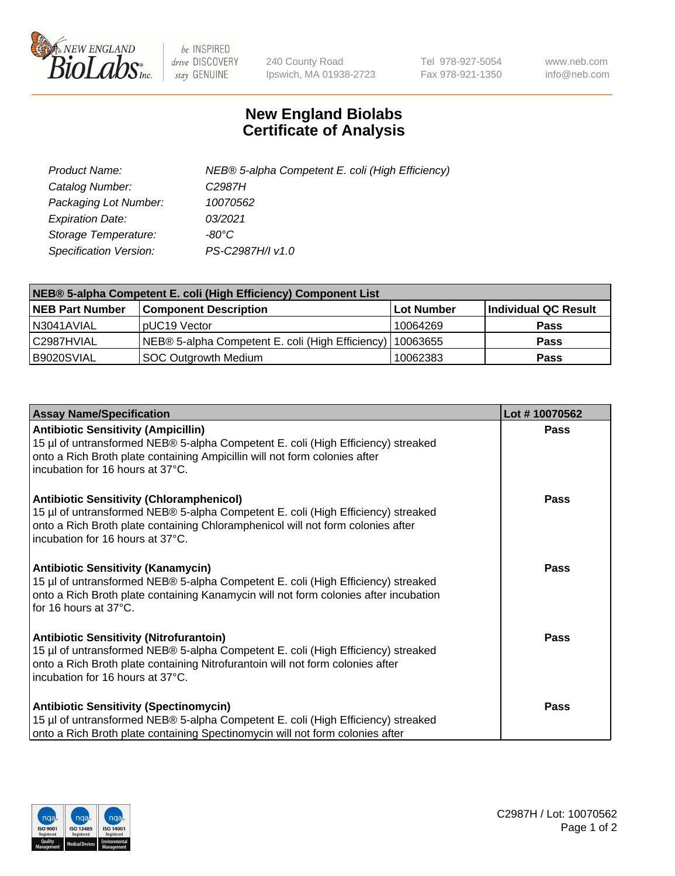

 $be$  INSPIRED drive DISCOVERY stay GENUINE

240 County Road Ipswich, MA 01938-2723 Tel 978-927-5054 Fax 978-921-1350 www.neb.com info@neb.com

## **New England Biolabs Certificate of Analysis**

| Product Name:           | NEB® 5-alpha Competent E. coli (High Efficiency) |
|-------------------------|--------------------------------------------------|
| Catalog Number:         | C <sub>2987</sub> H                              |
| Packaging Lot Number:   | 10070562                                         |
| <b>Expiration Date:</b> | 03/2021                                          |
| Storage Temperature:    | -80°C                                            |
| Specification Version:  | PS-C2987H/I v1.0                                 |

| NEB® 5-alpha Competent E. coli (High Efficiency) Component List |                                                  |            |                      |  |
|-----------------------------------------------------------------|--------------------------------------------------|------------|----------------------|--|
| <b>NEB Part Number</b>                                          | <b>Component Description</b>                     | Lot Number | Individual QC Result |  |
| N3041AVIAL                                                      | pUC19 Vector                                     | 10064269   | <b>Pass</b>          |  |
| C2987HVIAL                                                      | NEB® 5-alpha Competent E. coli (High Efficiency) | 10063655   | <b>Pass</b>          |  |
| B9020SVIAL                                                      | <b>SOC Outgrowth Medium</b>                      | 10062383   | <b>Pass</b>          |  |

| <b>Assay Name/Specification</b>                                                                                                                                                                                                                            | Lot #10070562 |
|------------------------------------------------------------------------------------------------------------------------------------------------------------------------------------------------------------------------------------------------------------|---------------|
| <b>Antibiotic Sensitivity (Ampicillin)</b><br>15 µl of untransformed NEB® 5-alpha Competent E. coli (High Efficiency) streaked<br>onto a Rich Broth plate containing Ampicillin will not form colonies after<br>incubation for 16 hours at 37°C.           | <b>Pass</b>   |
| <b>Antibiotic Sensitivity (Chloramphenicol)</b><br>15 µl of untransformed NEB® 5-alpha Competent E. coli (High Efficiency) streaked<br>onto a Rich Broth plate containing Chloramphenicol will not form colonies after<br>incubation for 16 hours at 37°C. | Pass          |
| Antibiotic Sensitivity (Kanamycin)<br>15 µl of untransformed NEB® 5-alpha Competent E. coli (High Efficiency) streaked<br>onto a Rich Broth plate containing Kanamycin will not form colonies after incubation<br>for 16 hours at 37°C.                    | Pass          |
| <b>Antibiotic Sensitivity (Nitrofurantoin)</b><br>15 µl of untransformed NEB® 5-alpha Competent E. coli (High Efficiency) streaked<br>onto a Rich Broth plate containing Nitrofurantoin will not form colonies after<br>incubation for 16 hours at 37°C.   | <b>Pass</b>   |
| <b>Antibiotic Sensitivity (Spectinomycin)</b><br>15 µl of untransformed NEB® 5-alpha Competent E. coli (High Efficiency) streaked<br>onto a Rich Broth plate containing Spectinomycin will not form colonies after                                         | Pass          |